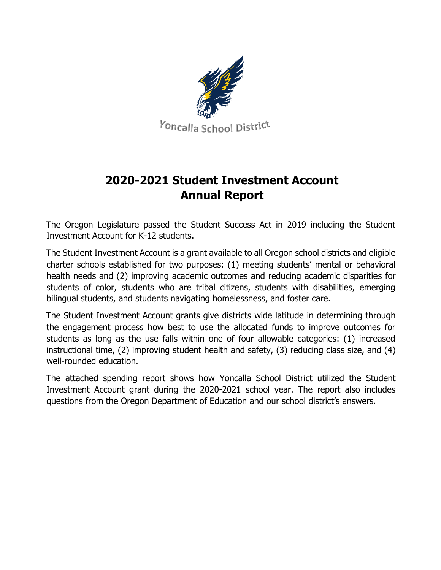

## **2020-2021 Student Investment Account Annual Report**

The Oregon Legislature passed the Student Success Act in 2019 including the Student Investment Account for K-12 students.

The Student Investment Account is a grant available to all Oregon school districts and eligible charter schools established for two purposes: (1) meeting students' mental or behavioral health needs and (2) improving academic outcomes and reducing academic disparities for students of color, students who are tribal citizens, students with disabilities, emerging bilingual students, and students navigating homelessness, and foster care.

The Student Investment Account grants give districts wide latitude in determining through the engagement process how best to use the allocated funds to improve outcomes for students as long as the use falls within one of four allowable categories: (1) increased instructional time, (2) improving student health and safety, (3) reducing class size, and (4) well-rounded education.

The attached spending report shows how Yoncalla School District utilized the Student Investment Account grant during the 2020-2021 school year. The report also includes questions from the Oregon Department of Education and our school district's answers.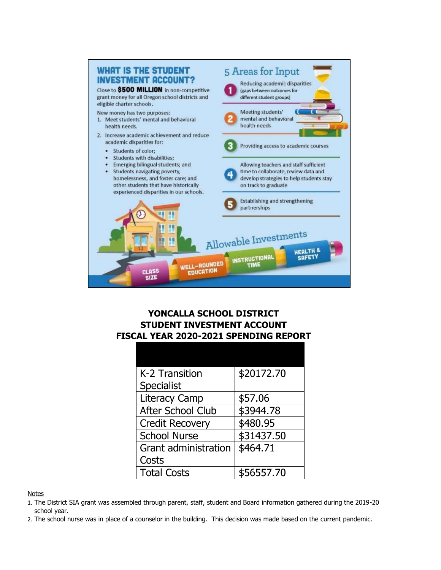

## **YONCALLA SCHOOL DISTRICT STUDENT INVESTMENT ACCOUNT FISCAL YEAR 2020-2021 SPENDING REPORT**

| K-2 Transition              | \$20172.70 |
|-----------------------------|------------|
| <b>Specialist</b>           |            |
| <b>Literacy Camp</b>        | \$57.06    |
| After School Club           | \$3944.78  |
| <b>Credit Recovery</b>      | \$480.95   |
| <b>School Nurse</b>         | \$31437.50 |
| <b>Grant administration</b> | \$464.71   |
| Costs                       |            |
| <b>Total Costs</b>          | \$56557.70 |
|                             |            |

#### **Notes**

- 1. The District SIA grant was assembled through parent, staff, student and Board information gathered during the 2019-20 school year.
- 2. The school nurse was in place of a counselor in the building. This decision was made based on the current pandemic.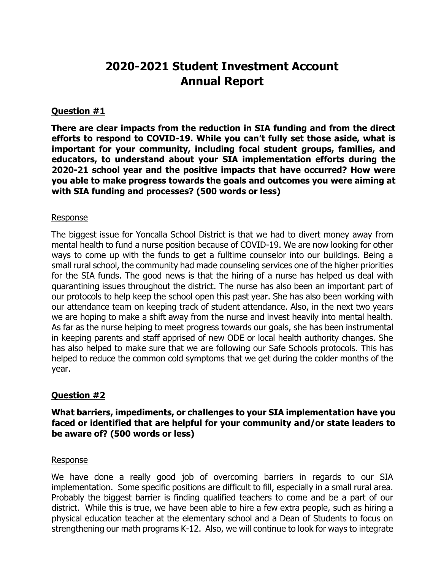## **2020-2021 Student Investment Account Annual Report**

#### **Question #1**

**There are clear impacts from the reduction in SIA funding and from the direct efforts to respond to COVID-19. While you can't fully set those aside, what is important for your community, including focal student groups, families, and educators, to understand about your SIA implementation efforts during the 2020-21 school year and the positive impacts that have occurred? How were you able to make progress towards the goals and outcomes you were aiming at with SIA funding and processes? (500 words or less)** 

#### Response

The biggest issue for Yoncalla School District is that we had to divert money away from mental health to fund a nurse position because of COVID-19. We are now looking for other ways to come up with the funds to get a fulltime counselor into our buildings. Being a small rural school, the community had made counseling services one of the higher priorities for the SIA funds. The good news is that the hiring of a nurse has helped us deal with quarantining issues throughout the district. The nurse has also been an important part of our protocols to help keep the school open this past year. She has also been working with our attendance team on keeping track of student attendance. Also, in the next two years we are hoping to make a shift away from the nurse and invest heavily into mental health. As far as the nurse helping to meet progress towards our goals, she has been instrumental in keeping parents and staff apprised of new ODE or local health authority changes. She has also helped to make sure that we are following our Safe Schools protocols. This has helped to reduce the common cold symptoms that we get during the colder months of the year.

### **Question #2**

#### **What barriers, impediments, or challenges to your SIA implementation have you faced or identified that are helpful for your community and/or state leaders to be aware of? (500 words or less)**

#### Response

We have done a really good job of overcoming barriers in regards to our SIA implementation. Some specific positions are difficult to fill, especially in a small rural area. Probably the biggest barrier is finding qualified teachers to come and be a part of our district. While this is true, we have been able to hire a few extra people, such as hiring a physical education teacher at the elementary school and a Dean of Students to focus on strengthening our math programs K-12. Also, we will continue to look for ways to integrate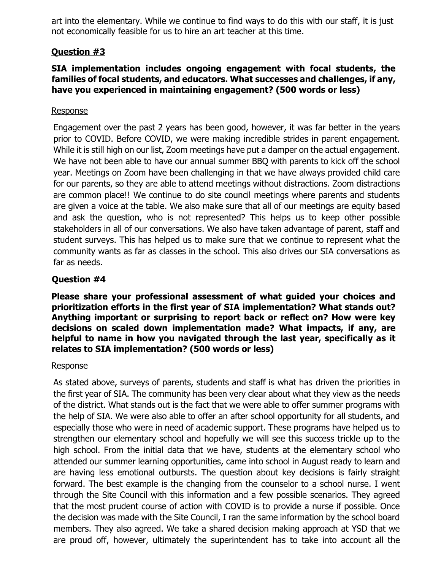art into the elementary. While we continue to find ways to do this with our staff, it is just not economically feasible for us to hire an art teacher at this time.

## **Question #3**

### **SIA implementation includes ongoing engagement with focal students, the families of focal students, and educators. What successes and challenges, if any, have you experienced in maintaining engagement? (500 words or less)**

#### Response

Engagement over the past 2 years has been good, however, it was far better in the years prior to COVID. Before COVID, we were making incredible strides in parent engagement. While it is still high on our list, Zoom meetings have put a damper on the actual engagement. We have not been able to have our annual summer BBQ with parents to kick off the school year. Meetings on Zoom have been challenging in that we have always provided child care for our parents, so they are able to attend meetings without distractions. Zoom distractions are common place!! We continue to do site council meetings where parents and students are given a voice at the table. We also make sure that all of our meetings are equity based and ask the question, who is not represented? This helps us to keep other possible stakeholders in all of our conversations. We also have taken advantage of parent, staff and student surveys. This has helped us to make sure that we continue to represent what the community wants as far as classes in the school. This also drives our SIA conversations as far as needs.

## **Question #4**

**Please share your professional assessment of what guided your choices and prioritization efforts in the first year of SIA implementation? What stands out? Anything important or surprising to report back or reflect on? How were key decisions on scaled down implementation made? What impacts, if any, are helpful to name in how you navigated through the last year, specifically as it relates to SIA implementation? (500 words or less)** 

#### Response

As stated above, surveys of parents, students and staff is what has driven the priorities in the first year of SIA. The community has been very clear about what they view as the needs of the district. What stands out is the fact that we were able to offer summer programs with the help of SIA. We were also able to offer an after school opportunity for all students, and especially those who were in need of academic support. These programs have helped us to strengthen our elementary school and hopefully we will see this success trickle up to the high school. From the initial data that we have, students at the elementary school who attended our summer learning opportunities, came into school in August ready to learn and are having less emotional outbursts. The question about key decisions is fairly straight forward. The best example is the changing from the counselor to a school nurse. I went through the Site Council with this information and a few possible scenarios. They agreed that the most prudent course of action with COVID is to provide a nurse if possible. Once the decision was made with the Site Council, I ran the same information by the school board members. They also agreed. We take a shared decision making approach at YSD that we are proud off, however, ultimately the superintendent has to take into account all the